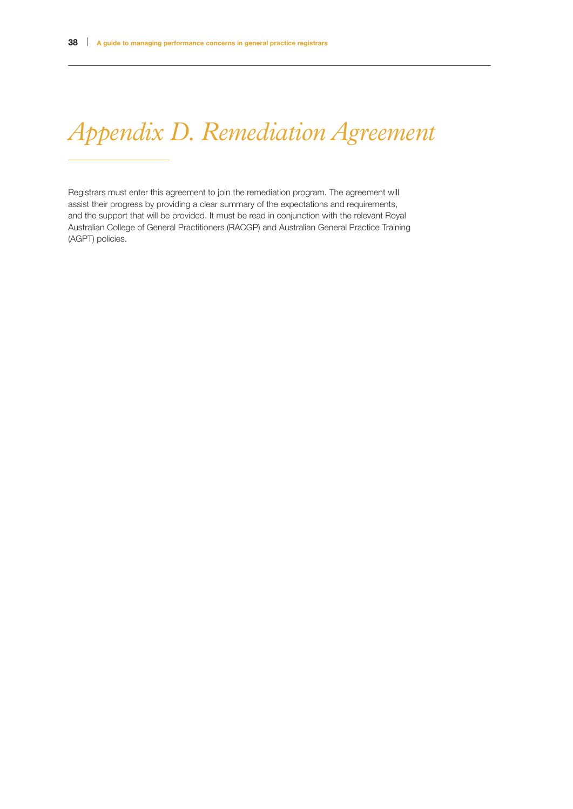# *Appendix D. Remediation Agreement*

Registrars must enter this agreement to join the remediation program. The agreement will assist their progress by providing a clear summary of the expectations and requirements, and the support that will be provided. It must be read in conjunction with the relevant Royal Australian College of General Practitioners (RACGP) and Australian General Practice Training (AGPT) policies.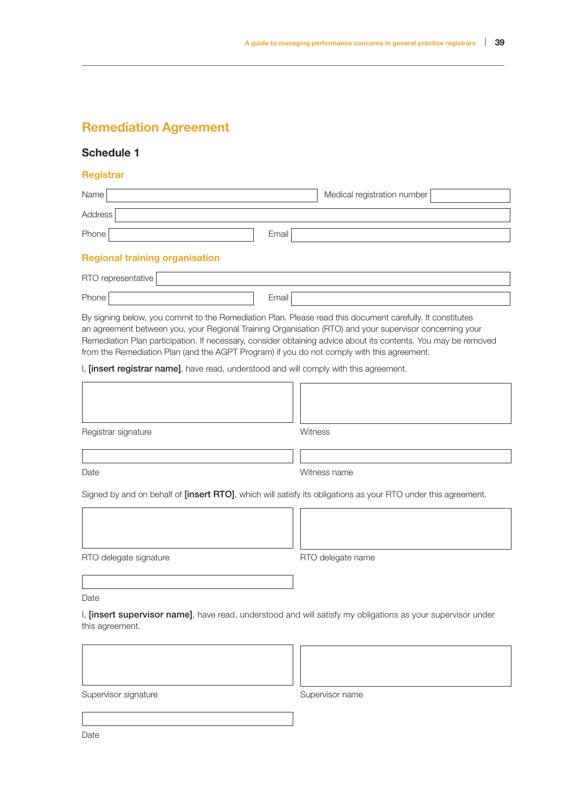## Remediation Agreement

#### Schedule 1

#### **Registrar**

| Name                                                                                       |       | Medical registration number                                                                                                                                                                                                                                                                                                            |
|--------------------------------------------------------------------------------------------|-------|----------------------------------------------------------------------------------------------------------------------------------------------------------------------------------------------------------------------------------------------------------------------------------------------------------------------------------------|
| Address                                                                                    |       |                                                                                                                                                                                                                                                                                                                                        |
| Phone                                                                                      | Email |                                                                                                                                                                                                                                                                                                                                        |
| <b>Regional training organisation</b>                                                      |       |                                                                                                                                                                                                                                                                                                                                        |
| RTO representative                                                                         |       |                                                                                                                                                                                                                                                                                                                                        |
| Phone                                                                                      | Email |                                                                                                                                                                                                                                                                                                                                        |
| from the Remediation Plan (and the AGPT Program) if you do not comply with this agreement. |       | By signing below, you commit to the Remediation Plan. Please read this document carefully. It constitutes<br>an agreement between you, your Regional Training Organisation (RTO) and your supervisor concerning your<br>Remediation Plan participation. If necessary, consider obtaining advice about its contents. You may be removed |
| I, [insert registrar name], have read, understood and will comply with this agreement.     |       |                                                                                                                                                                                                                                                                                                                                        |
|                                                                                            |       |                                                                                                                                                                                                                                                                                                                                        |
| Registrar signature                                                                        |       | Witness                                                                                                                                                                                                                                                                                                                                |
|                                                                                            |       |                                                                                                                                                                                                                                                                                                                                        |
| Date                                                                                       |       | Witness name                                                                                                                                                                                                                                                                                                                           |
|                                                                                            |       | Signed by and on behalf of <i>[insert RTO]</i> , which will satisfy its obligations as your RTO under this agreement.                                                                                                                                                                                                                  |
|                                                                                            |       |                                                                                                                                                                                                                                                                                                                                        |
|                                                                                            |       |                                                                                                                                                                                                                                                                                                                                        |
| RTO delegate signature                                                                     |       | RTO delegate name                                                                                                                                                                                                                                                                                                                      |
|                                                                                            |       |                                                                                                                                                                                                                                                                                                                                        |
| Date                                                                                       |       |                                                                                                                                                                                                                                                                                                                                        |
| this agreement.                                                                            |       | I, <i>[insert supervisor name]</i> , have read, understood and will satisfy my obligations as your supervisor under                                                                                                                                                                                                                    |
|                                                                                            |       |                                                                                                                                                                                                                                                                                                                                        |
| Supervisor signature                                                                       |       | Supervisor name                                                                                                                                                                                                                                                                                                                        |

Date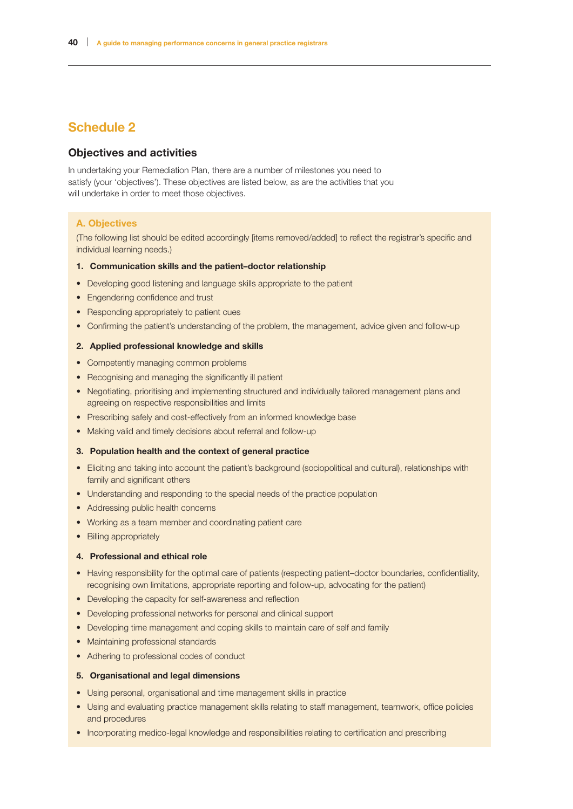## Schedule 2

#### Objectives and activities

In undertaking your Remediation Plan, there are a number of milestones you need to satisfy (your 'objectives'). These objectives are listed below, as are the activities that you will undertake in order to meet those objectives.

#### A. Objectives

(The following list should be edited accordingly [items removed/added] to reflect the registrar's specific and individual learning needs.)

#### 1. Communication skills and the patient–doctor relationship

- Developing good listening and language skills appropriate to the patient
- Engendering confidence and trust
- Responding appropriately to patient cues
- Confirming the patient's understanding of the problem, the management, advice given and follow-up

#### 2. Applied professional knowledge and skills

- Competently managing common problems
- Recognising and managing the significantly ill patient
- Negotiating, prioritising and implementing structured and individually tailored management plans and agreeing on respective responsibilities and limits
- Prescribing safely and cost-effectively from an informed knowledge base
- Making valid and timely decisions about referral and follow-up

#### 3. Population health and the context of general practice

- Eliciting and taking into account the patient's background (sociopolitical and cultural), relationships with family and significant others
- Understanding and responding to the special needs of the practice population
- Addressing public health concerns
- Working as a team member and coordinating patient care
- Billing appropriately

#### 4. Professional and ethical role

- Having responsibility for the optimal care of patients (respecting patient–doctor boundaries, confidentiality, recognising own limitations, appropriate reporting and follow-up, advocating for the patient)
- Developing the capacity for self-awareness and reflection
- Developing professional networks for personal and clinical support
- Developing time management and coping skills to maintain care of self and family
- Maintaining professional standards
- Adhering to professional codes of conduct

#### 5. Organisational and legal dimensions

- Using personal, organisational and time management skills in practice
- Using and evaluating practice management skills relating to staff management, teamwork, office policies and procedures
- Incorporating medico-legal knowledge and responsibilities relating to certification and prescribing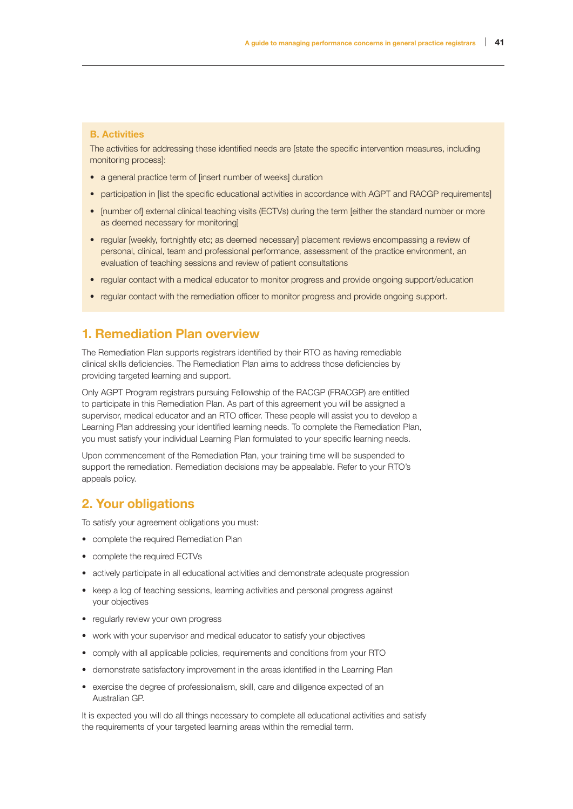#### B. Activities

The activities for addressing these identified needs are [state the specific intervention measures, including monitoring process]:

- a general practice term of linsert number of weeks] duration
- participation in [list the specific educational activities in accordance with AGPT and RACGP requirements]
- [number of] external clinical teaching visits (ECTVs) during the term [either the standard number or more as deemed necessary for monitoring]
- regular [weekly, fortnightly etc; as deemed necessary] placement reviews encompassing a review of personal, clinical, team and professional performance, assessment of the practice environment, an evaluation of teaching sessions and review of patient consultations
- regular contact with a medical educator to monitor progress and provide ongoing support/education
- regular contact with the remediation officer to monitor progress and provide ongoing support.

## 1. Remediation Plan overview

The Remediation Plan supports registrars identified by their RTO as having remediable clinical skills deficiencies. The Remediation Plan aims to address those deficiencies by providing targeted learning and support.

Only AGPT Program registrars pursuing Fellowship of the RACGP (FRACGP) are entitled to participate in this Remediation Plan. As part of this agreement you will be assigned a supervisor, medical educator and an RTO officer. These people will assist you to develop a Learning Plan addressing your identified learning needs. To complete the Remediation Plan, you must satisfy your individual Learning Plan formulated to your specific learning needs.

Upon commencement of the Remediation Plan, your training time will be suspended to support the remediation. Remediation decisions may be appealable. Refer to your RTO's appeals policy.

## 2. Your obligations

To satisfy your agreement obligations you must:

- complete the required Remediation Plan
- complete the required ECTVs
- actively participate in all educational activities and demonstrate adequate progression
- keep a log of teaching sessions, learning activities and personal progress against your objectives
- regularly review your own progress
- work with your supervisor and medical educator to satisfy your objectives
- comply with all applicable policies, requirements and conditions from your RTO
- demonstrate satisfactory improvement in the areas identified in the Learning Plan
- exercise the degree of professionalism, skill, care and diligence expected of an Australian GP.

It is expected you will do all things necessary to complete all educational activities and satisfy the requirements of your targeted learning areas within the remedial term.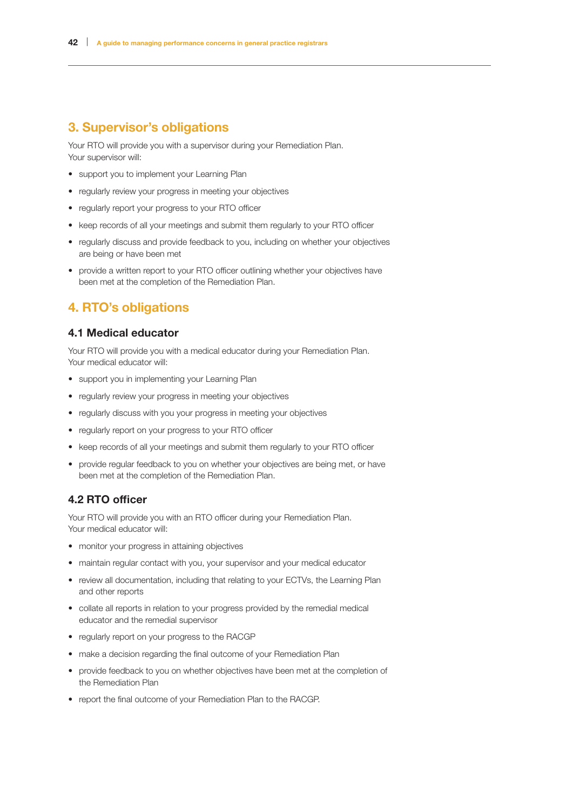## 3. Supervisor's obligations

Your RTO will provide you with a supervisor during your Remediation Plan. Your supervisor will:

- support you to implement your Learning Plan
- regularly review your progress in meeting your objectives
- regularly report your progress to your RTO officer
- keep records of all your meetings and submit them regularly to your RTO officer
- regularly discuss and provide feedback to you, including on whether your objectives are being or have been met
- provide a written report to your RTO officer outlining whether your objectives have been met at the completion of the Remediation Plan.

## 4. RTO's obligations

#### 4.1 Medical educator

Your RTO will provide you with a medical educator during your Remediation Plan. Your medical educator will:

- support you in implementing your Learning Plan
- regularly review your progress in meeting your objectives
- regularly discuss with you your progress in meeting your objectives
- regularly report on your progress to your RTO officer
- keep records of all your meetings and submit them regularly to your RTO officer
- provide regular feedback to you on whether your objectives are being met, or have been met at the completion of the Remediation Plan.

## 4.2 RTO officer

Your RTO will provide you with an RTO officer during your Remediation Plan. Your medical educator will:

- monitor your progress in attaining objectives
- maintain regular contact with you, your supervisor and your medical educator
- review all documentation, including that relating to your ECTVs, the Learning Plan and other reports
- collate all reports in relation to your progress provided by the remedial medical educator and the remedial supervisor
- regularly report on your progress to the RACGP
- make a decision regarding the final outcome of your Remediation Plan
- provide feedback to you on whether objectives have been met at the completion of the Remediation Plan
- report the final outcome of your Remediation Plan to the RACGP.